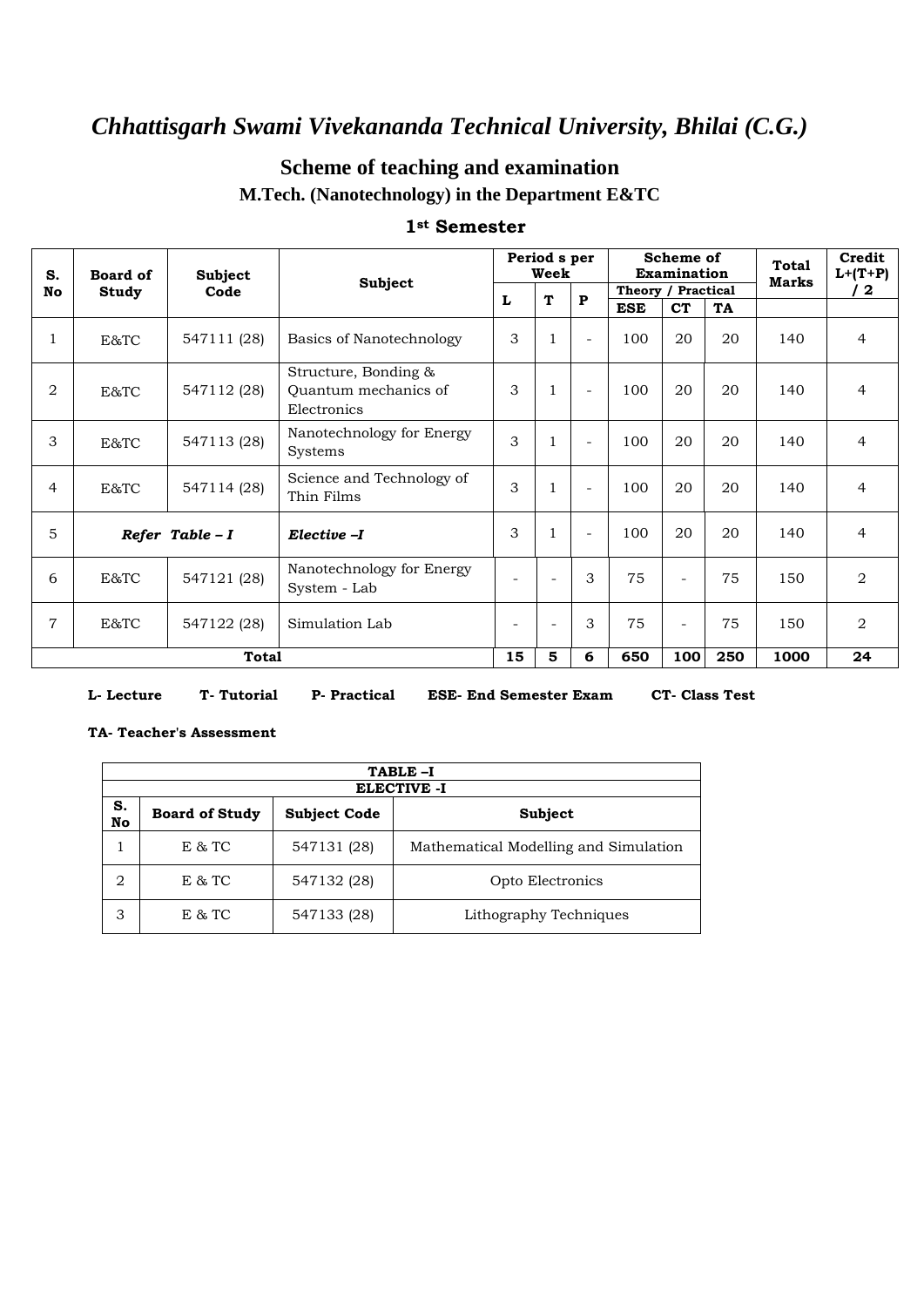### **Scheme of teaching and examination M.Tech. (Nanotechnology) in the Department E&TC**

| S.             | Board of         | Subject      | <b>Subject</b>                                              | Period s per<br>Scheme of<br>Week<br>Examination |        | Theory / Practical       |            | <b>Total</b><br><b>Marks</b> | Credit<br>$L+(T+P)$ |      |                |
|----------------|------------------|--------------|-------------------------------------------------------------|--------------------------------------------------|--------|--------------------------|------------|------------------------------|---------------------|------|----------------|
| No             | Study            | Code         |                                                             | L                                                | T      | $\mathbf{P}$             |            |                              |                     |      | / 2            |
|                |                  |              |                                                             |                                                  |        |                          | <b>ESE</b> | <b>CT</b>                    | TA                  |      |                |
| $\mathbf{1}$   | E&TC             | 547111 (28)  | Basics of Nanotechnology                                    | 3                                                |        | $\overline{\phantom{a}}$ | 100        | 20                           | 20                  | 140  | $\overline{4}$ |
| 2              | E&TC             | 547112 (28)  | Structure, Bonding &<br>Quantum mechanics of<br>Electronics | 3                                                |        | $\blacksquare$           | 100        | 20                           | 20                  | 140  | 4              |
| 3              | E&TC             | 547113 (28)  | Nanotechnology for Energy<br>Systems                        | 3                                                |        | $\overline{\phantom{a}}$ | 100        | 20                           | 20                  | 140  | 4              |
| $\overline{4}$ | E&TC             | 547114 (28)  | Science and Technology of<br>Thin Films                     | 3                                                |        | $\overline{\phantom{a}}$ | 100        | 20                           | 20                  | 140  | 4              |
| 5              | Refer Table $-I$ |              | Elective -I                                                 | 3                                                |        | $\blacksquare$           | 100        | 20                           | 20                  | 140  | 4              |
| 6              | E&TC             | 547121 (28)  | Nanotechnology for Energy<br>System - Lab                   |                                                  | $\sim$ | 3                        | 75         | $\overline{\phantom{a}}$     | 75                  | 150  | 2              |
| $\overline{7}$ | E&TC             | 547122 (28)  | Simulation Lab                                              | $\overline{\phantom{a}}$                         | $\sim$ | 3                        | 75         | $\blacksquare$               | 75                  | 150  | $\overline{2}$ |
|                |                  | <b>Total</b> |                                                             | 15                                               | 5      | 6                        | 650        | 100                          | 250                 | 1000 | 24             |

#### **1st Semester**

#### **L- Lecture T- Tutorial P- Practical ESE- End Semester Exam CT- Class Test**

#### **TA- Teacher's Assessment**

|          |                       |                     | TABLE-I                               |
|----------|-----------------------|---------------------|---------------------------------------|
|          |                       |                     | <b>ELECTIVE -I</b>                    |
| S.<br>No | <b>Board of Study</b> | <b>Subject Code</b> | Subject                               |
|          | E & TC                | 547131 (28)         | Mathematical Modelling and Simulation |
| 2        | E & TC                | 547132 (28)         | Opto Electronics                      |
| З        | E & TC                | 547133 (28)         | Lithography Techniques                |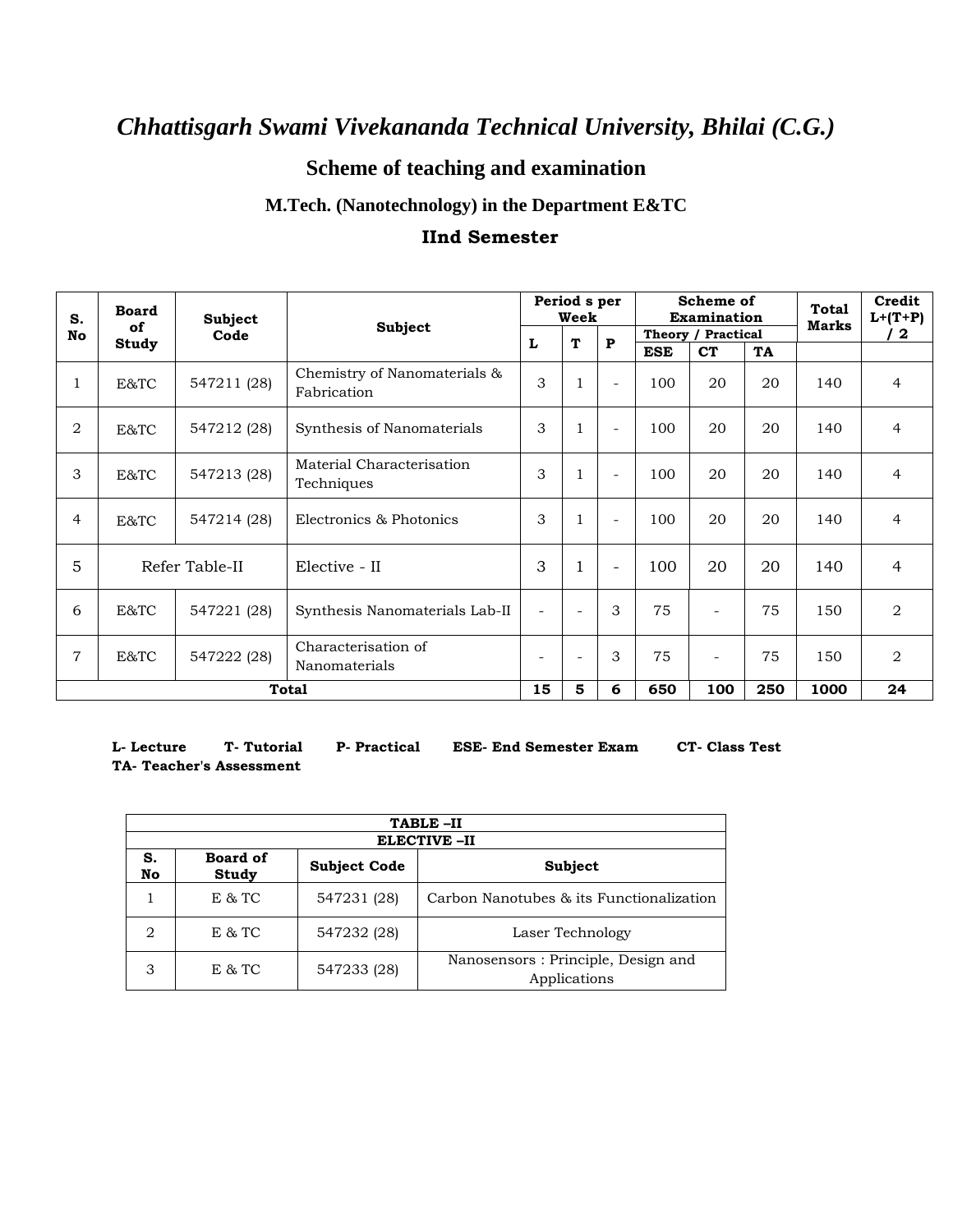## **Scheme of teaching and examination**

### **M.Tech. (Nanotechnology) in the Department E&TC**

#### **IInd Semester**

| S.             | <b>Board</b><br>of | <b>Subject</b> |                                             | Period s per<br>Week     |                          |                          |            | Scheme of<br>Examination | <b>Total</b><br><b>Marks</b> | Credit<br>$L+ (T+P)$ |                |
|----------------|--------------------|----------------|---------------------------------------------|--------------------------|--------------------------|--------------------------|------------|--------------------------|------------------------------|----------------------|----------------|
| No             |                    | Code           | <b>Subject</b>                              |                          | T                        | ${\bf P}$                |            | Theory / Practical       |                              |                      | $\mathbf{2}$   |
|                | Study              |                |                                             | L                        |                          |                          | <b>ESE</b> | <b>CT</b>                | TA                           |                      |                |
| 1              | E&TC               | 547211 (28)    | Chemistry of Nanomaterials &<br>Fabrication | 3                        | $\mathbf{1}$             | $\overline{a}$           | 100        | 20                       | 20                           | 140                  | $\overline{4}$ |
| 2              | E&TC               | 547212 (28)    | Synthesis of Nanomaterials                  | 3                        | 1                        | $\overline{a}$           | 100        | 20                       | 20                           | 140                  | $\overline{4}$ |
| 3              | E&TC               | 547213 (28)    | Material Characterisation<br>Techniques     | 3                        | $\mathbf{1}$             | $\overline{a}$           | 100        | 20                       | 20                           | 140                  | $\overline{4}$ |
| $\overline{4}$ | E&TC               | 547214 (28)    | Electronics & Photonics                     | 3                        | $\mathbf{1}$             | $\overline{\phantom{a}}$ | 100        | 20                       | 20                           | 140                  | $\overline{4}$ |
| 5              |                    | Refer Table-II | Elective - II                               | 3                        | $\mathbf{1}$             | $\overline{\phantom{a}}$ | 100        | 20                       | 20                           | 140                  | $\overline{4}$ |
| 6              | E&TC               | 547221 (28)    | Synthesis Nanomaterials Lab-II              | $\blacksquare$           | $\overline{\phantom{a}}$ | 3                        | 75         | $\overline{a}$           | 75                           | 150                  | $\overline{2}$ |
| $\overline{7}$ | E&TC               | 547222 (28)    | Characterisation of<br>Nanomaterials        | $\overline{\phantom{a}}$ | $\overline{\phantom{a}}$ | 3                        | 75         | $\overline{\phantom{a}}$ | 75                           | 150                  | $\overline{a}$ |
|                |                    |                | <b>Total</b>                                | 15                       | 5                        | 6                        | 650        | 100                      | 250                          | 1000                 | 24             |

**TA- Teacher's Assessment**

**L- Lecture T- Tutorial P- Practical ESE- End Semester Exam CT- Class Test** 

|          |                          |                     | TABLE-II                                           |
|----------|--------------------------|---------------------|----------------------------------------------------|
|          |                          |                     | <b>ELECTIVE -II</b>                                |
| s.<br>No | <b>Board of</b><br>Study | <b>Subject Code</b> | Subject                                            |
|          | E & TC                   | 547231 (28)         | Carbon Nanotubes & its Functionalization           |
| 2        | $E & T$ C                | 547232 (28)         | Laser Technology                                   |
| 3        | $E & T$ C                | 547233 (28)         | Nanosensors: Principle, Design and<br>Applications |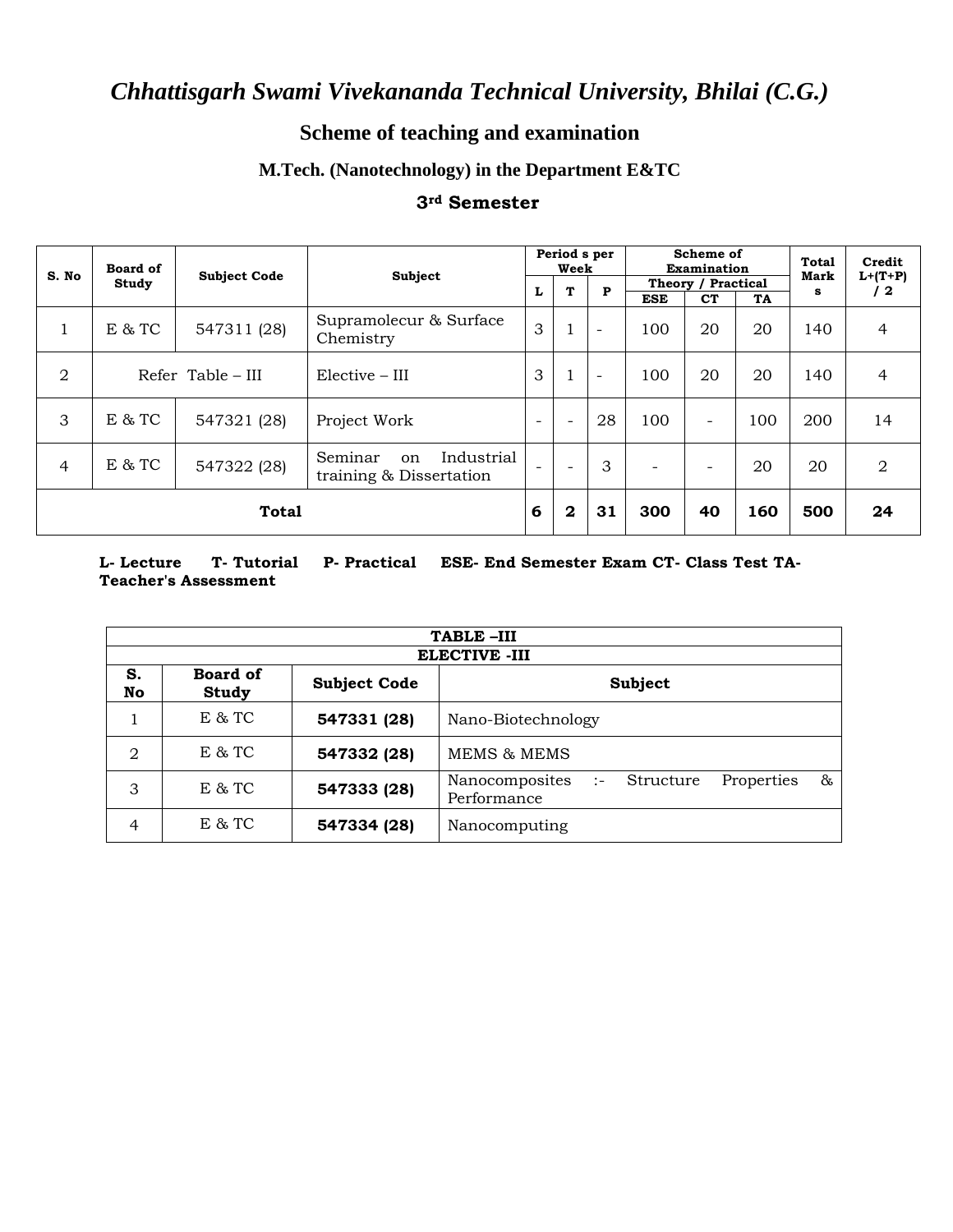## **Scheme of teaching and examination**

### **M.Tech. (Nanotechnology) in the Department E&TC**

#### **3rd Semester**

| S. No          | <b>Board of</b> | <b>Subject Code</b> | Subject                                                |                          | Period s per<br>Week     |                          | Scheme of<br>Examination |                          |     | <b>Total</b><br><b>Mark</b> | Credit          |
|----------------|-----------------|---------------------|--------------------------------------------------------|--------------------------|--------------------------|--------------------------|--------------------------|--------------------------|-----|-----------------------------|-----------------|
|                | Study           |                     |                                                        | L                        | T                        | P                        |                          | Theory / Practical       |     | s                           | $L+(T+P)$<br>12 |
|                |                 |                     |                                                        |                          |                          |                          | <b>ESE</b>               | C <sub>T</sub>           | TA  |                             |                 |
| 1              | E & T           | 547311 (28)         | Supramolecur & Surface<br>Chemistry                    | 3                        | T                        | $\overline{\phantom{a}}$ | 100                      | 20                       | 20  | 140                         | 4               |
| $\overline{2}$ |                 | Refer Table – III   | $Elective - III$                                       | 3                        | $\mathbf{1}$             | $\overline{\phantom{a}}$ | 100                      | 20                       | 20  | 140                         | 4               |
| 3              | E & T           | 547321 (28)         | Project Work                                           | $\overline{\phantom{0}}$ | $\overline{\phantom{a}}$ | 28                       | 100                      | $\overline{\phantom{0}}$ | 100 | 200                         | 14              |
| $\overline{4}$ | E & T           | 547322 (28)         | Industrial<br>Seminar<br>on<br>training & Dissertation | $\overline{\phantom{0}}$ | $\overline{\phantom{0}}$ | 3                        | $\overline{\phantom{a}}$ |                          | 20  | 20                          | 2               |
|                |                 | <b>Total</b>        |                                                        | 6                        | $\boldsymbol{2}$         | 31                       | 300                      | 40                       | 160 | 500                         | 24              |

**L- Lecture T- Tutorial P- Practical ESE- End Semester Exam CT- Class Test TA-Teacher's Assessment**

|                | TABLE-III                |                     |                                                                   |  |  |  |  |  |  |  |  |  |
|----------------|--------------------------|---------------------|-------------------------------------------------------------------|--|--|--|--|--|--|--|--|--|
|                |                          |                     | <b>ELECTIVE -III</b>                                              |  |  |  |  |  |  |  |  |  |
| S.<br>No       | <b>Board of</b><br>Study | <b>Subject Code</b> | Subject                                                           |  |  |  |  |  |  |  |  |  |
|                | $E$ & TC                 | 547331 (28)         | Nano-Biotechnology                                                |  |  |  |  |  |  |  |  |  |
| 2              | E & T                    | 547332 (28)         | <b>MEMS &amp; MEMS</b>                                            |  |  |  |  |  |  |  |  |  |
| 3              | E & T                    | 547333 (28)         | 85<br>Nanocomposites :-<br>Structure<br>Properties<br>Performance |  |  |  |  |  |  |  |  |  |
| $\overline{4}$ | E & T                    | 547334 (28)         | Nanocomputing                                                     |  |  |  |  |  |  |  |  |  |